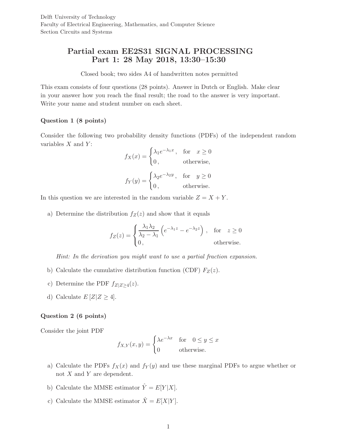# Partial exam EE2S31 SIGNAL PROCESSING Part 1: 28 May 2018, 13:30–15:30

Closed book; two sides A4 of handwritten notes permitted

This exam consists of four questions (28 points). Answer in Dutch or English. Make clear in your answer how you reach the final result; the road to the answer is very important. Write your name and student number on each sheet.

## Question 1 (8 points)

Consider the following two probability density functions (PDFs) of the independent random variables  $X$  and  $Y$ :

$$
f_X(x) = \begin{cases} \lambda_1 e^{-\lambda_1 x}, & \text{for } x \ge 0 \\ 0, & \text{otherwise,} \end{cases}
$$

$$
f_Y(y) = \begin{cases} \lambda_2 e^{-\lambda_2 y}, & \text{for } y \ge 0 \\ 0, & \text{otherwise.} \end{cases}
$$

In this question we are interested in the random variable  $Z = X + Y$ .

a) Determine the distribution  $f_Z(z)$  and show that it equals

$$
f_Z(z) = \begin{cases} \frac{\lambda_1 \lambda_2}{\lambda_2 - \lambda_1} \left( e^{-\lambda_1 z} - e^{-\lambda_2 z} \right) , & \text{for } z \ge 0\\ 0, & \text{otherwise.} \end{cases}
$$

*Hint: In the derivation you might want to use a partial fraction expansion.*

- b) Calculate the cumulative distribution function (CDF)  $F_Z(z)$ .
- c) Determine the PDF  $f_{Z|Z\geq4}(z)$ .
- d) Calculate  $E[Z|Z \geq 4]$ .

### Question 2 (6 points)

Consider the joint PDF

$$
f_{X,Y}(x,y) = \begin{cases} \lambda e^{-\lambda x} & \text{for} \quad 0 \le y \le x \\ 0 & \text{otherwise.} \end{cases}
$$

- a) Calculate the PDFs  $f_X(x)$  and  $f_Y(y)$  and use these marginal PDFs to argue whether or not  $X$  and  $Y$  are dependent.
- b) Calculate the MMSE estimator  $\hat{Y} = E[Y|X]$ .
- c) Calculate the MMSE estimator  $\hat{X} = E[X|Y]$ .